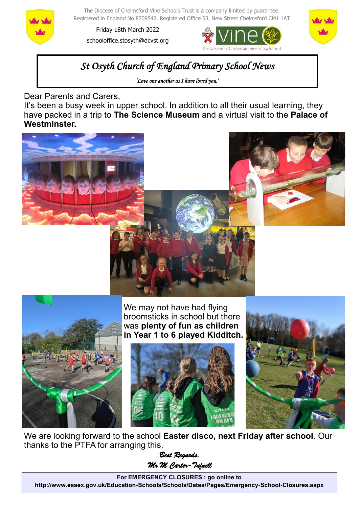

The Diocese of Chelmsford Vine Schools Trust is a company limited by guarantee. Registered in England No 8709542. Registered Office 53, New Street Chelmsford CM1 1AT

Friday 18th March 2022 schooloffice.stosyth@dcvst.org





## *St Osyth Church of England Primary School News*

*'Love one another as I have loved you.'* 

Dear Parents and Carers,

It's been a busy week in upper school. In addition to all their usual learning, they have packed in a trip to **The Science Museum** and a virtual visit to the **Palace of Westminster.**







We may not have had flying broomsticks in school but there was **plenty of fun as children in Year 1 to 6 played Kidditch.**





We are looking forward to the school **Easter disco, next Friday after school**. Our thanks to the PTFA for arranging this.

*Best Regards, Mr M Carter-Tufnell* 

**For EMERGENCY CLOSURES : go online to http://www.essex.gov.uk/Education-Schools/Schools/Dates/Pages/Emergency-School-Closures.aspx**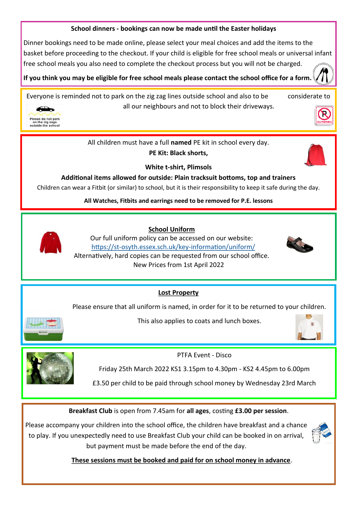## **School dinners - bookings can now be made until the Easter holidays**

Dinner bookings need to be made online, please select your meal choices and add the items to the basket before proceeding to the checkout. If your child is eligible for free school meals or universal infant free school meals you also need to complete the checkout process but you will not be charged.

**If you think you may be eligible for free school meals please contact the school office for a form.** 

Everyone is reminded not to park on the zig zag lines outside school and also to be considerate to all our neighbours and not to block their driveways.





All children must have a full **named** PE kit in school every day.

**PE Kit: Black shorts,** 



**White t-shirt, Plimsols**

**Additional items allowed for outside: Plain tracksuit bottoms, top and trainers**

Children can wear a Fitbit (or similar) to school, but it is their responsibility to keep it safe during the day.

**All Watches, Fitbits and earrings need to be removed for P.E. lessons**



 **School Uniform**

Our full uniform policy can be accessed on our website: https://st-[osyth.essex.sch.uk/key](https://st-osyth.essex.sch.uk/key-information/uniform/)-information/uniform/ Alternatively, hard copies can be requested from our school office. New Prices from 1st April 2022



**Lost Property**

Please ensure that all uniform is named, in order for it to be returned to your children.



This also applies to coats and lunch boxes.





PTFA Event - Disco

Friday 25th March 2022 KS1 3.15pm to 4.30pm - KS2 4.45pm to 6.00pm

£3.50 per child to be paid through school money by Wednesday 23rd March

**Breakfast Club** is open from 7.45am for **all ages**, costing **£3.00 per session**.

Please accompany your children into the school office, the children have breakfast and a chance to play. If you unexpectedly need to use Breakfast Club your child can be booked in on arrival, but payment must be made before the end of the day.



 **These sessions must be booked and paid for on school money in advance**.